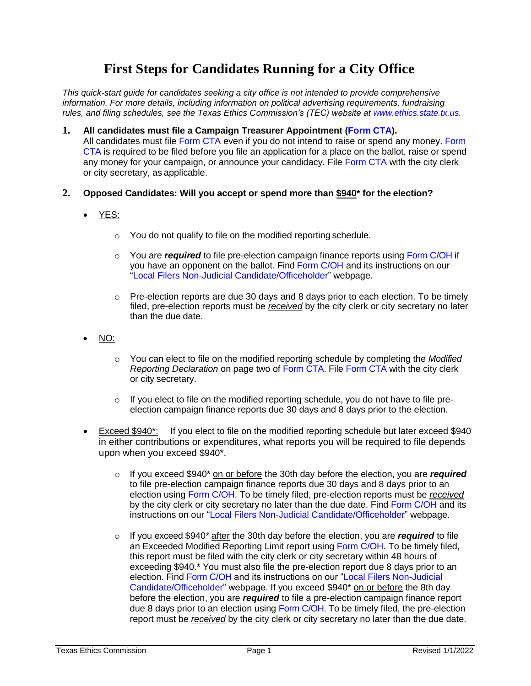# **First Steps for Candidates Running for a City Office**

*This quick-start guide for candidates seeking a city office is not intended to provide comprehensive information. For more details, including information on political advertising requirements, fundraising rules, and filing schedules, see the Texas Ethics Commission's (TEC) website at [www.ethics.state.tx.us.](https://www.ethics.state.tx.us/)*

### **1. All candidates must file a Campaign Treasurer Appointment [\(Form](https://www.ethics.state.tx.us/data/forms/coh/cta.pdf) CTA).**

All candidates must file [Form CTA e](https://www.ethics.state.tx.us/data/forms/coh/cta.pdf)ven if you do not intend to raise or spend any money. Form CTA is required to be filed before you file an application for a place on the ballot, raise or spend any money for your campaign, or announce your candidacy. File [Form CTA w](https://www.ethics.state.tx.us/data/forms/coh/cta.pdf)ith the city clerk or city secretary, as applicable.

## **2. Opposed Candidates: Will you accept or spend more than \$940\* for the election?**

- YES:
	- o You do not qualify to file on the modified reporting schedule.
	- o You are *required* to file pre-election campaign finance reports using [Form C/OH if](https://www.ethics.state.tx.us/data/forms/coh/coh.pdf) you have an opponent on the ballot. Fin[d Form C/OH a](https://www.ethics.state.tx.us/data/forms/coh/coh.pdf)nd its inst[r](http://www.ethics.state.tx.us/forms/local/localcohfrm.php)uctions on our ["Local Filers Non-Judicial Candidate/Officeholder"](http://www.ethics.state.tx.us/forms/local/localcohfrm.php) webpage.
	- $\circ$  Pre-election reports are due 30 days and 8 days prior to each election. To be timely filed, pre-election reports must be *received* by the city clerk or city secretary no later than the due date.
- NO:
	- o You can elect to file on the modified reporting schedule by completing the *Modified Reporting Declaration* on page two of [Form CTA. F](https://www.ethics.state.tx.us/data/forms/coh/cta.pdf)ile [Form CTA w](https://www.ethics.state.tx.us/data/forms/coh/cta.pdf)ith the city clerk or city secretary.
	- $\circ$  If you elect to file on the modified reporting schedule, you do not have to file preelection campaign finance reports due 30 days and 8 days prior to the election.
- Exceed \$940\*: If you elect to file on the modified reporting schedule but later exceed \$940 in either contributions or expenditures, what reports you will be required to file depends upon when you exceed \$940\*.
	- o If you exceed \$940\* on or before the 30th day before the election, you are *required*  to file pre-election campaign finance reports due 30 days and 8 days prior to an election using [Form C/OH. T](https://www.ethics.state.tx.us/data/forms/coh/coh.pdf)o be timely filed, pre-election reports must be *received* by the city clerk or city secretary no later than the due date. Find Form C/OH and its instructions on our "Local [Filers Non-Judicial Candidate/Officeholder"](http://www.ethics.state.tx.us/forms/local/localcohfrm.php) webpage.
	- o If you exceed \$940\* after the 30th day before the election, you are *required* to file an Exceeded Modified Reporting Limit report using [Form C/OH. T](https://www.ethics.state.tx.us/data/forms/coh/coh.pdf)o be timely filed, this report must be filed with the city clerk or city secretary within 48 hours of exceeding \$940.\* You must also file the pre-election report due 8 days prior to an election. Find Form C/OH and its instructions on our "Local Filers Non-Judicial Candidate/Officeholder" webpage. If you exceed \$940\* on or before the 8th day before the election, you are *required* to file a pre-election campaign finance report due 8 days prior to an election using [Form C/OH. T](https://www.ethics.state.tx.us/data/forms/coh/coh.pdf)o be timely filed, the pre-election report must be *received* by the city clerk or city secretary no later than the due date.